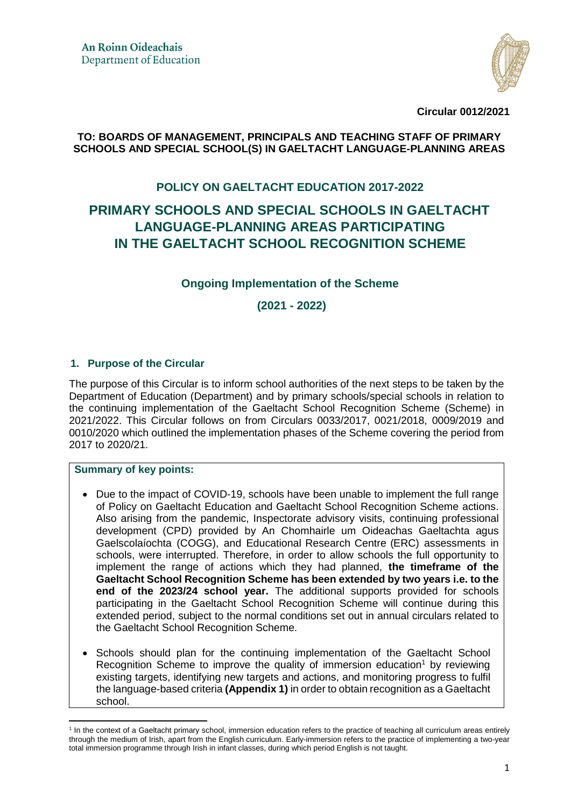

**Circular 0012/2021** 

#### **TO: BOARDS OF MANAGEMENT, PRINCIPALS AND TEACHING STAFF OF PRIMARY SCHOOLS AND SPECIAL SCHOOL(S) IN GAELTACHT LANGUAGE-PLANNING AREAS**

### **POLICY ON GAELTACHT EDUCATION 2017-2022**

# **PRIMARY SCHOOLS AND SPECIAL SCHOOLS IN GAELTACHT LANGUAGE-PLANNING AREAS PARTICIPATING IN THE GAELTACHT SCHOOL RECOGNITION SCHEME**

### **Ongoing Implementation of the Scheme**

 **(2021 - 2022)** 

#### **1. Purpose of the Circular**

The purpose of this Circular is to inform school authorities of the next steps to be taken by the Department of Education (Department) and by primary schools/special schools in relation to the continuing implementation of the Gaeltacht School Recognition Scheme (Scheme) in 2021/2022. This Circular follows on from Circulars 0033/2017, 0021/2018, 0009/2019 and 0010/2020 which outlined the implementation phases of the Scheme covering the period from 2017 to 2020/21.

### **Summary of key points:**

 $\overline{a}$ 

- Due to the impact of COVID-19, schools have been unable to implement the full range of Policy on Gaeltacht Education and Gaeltacht School Recognition Scheme actions. Also arising from the pandemic, Inspectorate advisory visits, continuing professional development (CPD) provided by An Chomhairle um Oideachas Gaeltachta agus Gaelscolaíochta (COGG), and Educational Research Centre (ERC) assessments in schools, were interrupted. Therefore, in order to allow schools the full opportunity to implement the range of actions which they had planned, **the timeframe of the Gaeltacht School Recognition Scheme has been extended by two years i.e. to the end of the 2023/24 school year.** The additional supports provided for schools participating in the Gaeltacht School Recognition Scheme will continue during this extended period, subject to the normal conditions set out in annual circulars related to the Gaeltacht School Recognition Scheme.
- Schools should plan for the continuing implementation of the Gaeltacht School Recognition Scheme to improve the quality of immersion education<sup>1</sup> by reviewing existing targets, identifying new targets and actions, and monitoring progress to fulfil the language-based criteria **(Appendix 1)** in order to obtain recognition as a Gaeltacht school.

<sup>&</sup>lt;sup>1</sup> In the context of a Gaeltacht primary school, immersion education refers to the practice of teaching all curriculum areas entirely through the medium of Irish, apart from the English curriculum. Early-immersion refers to the practice of implementing a two-year total immersion programme through Irish in infant classes, during which period English is not taught.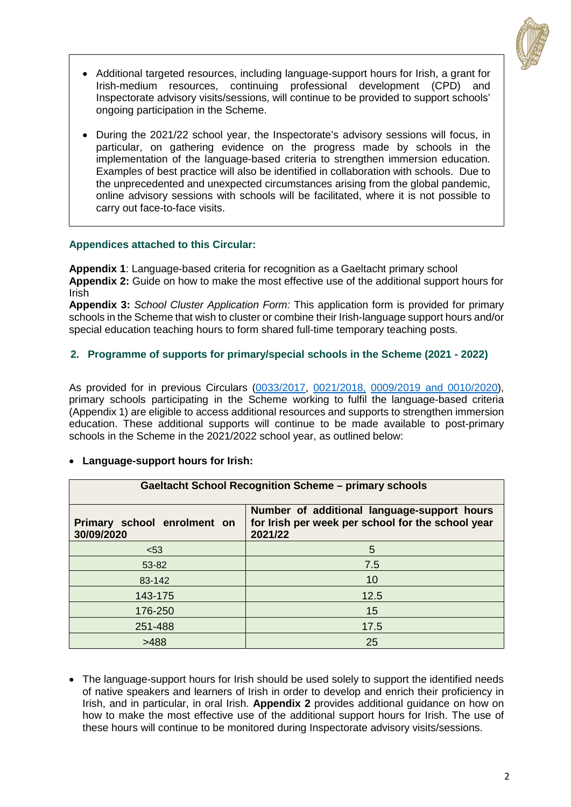

- Additional targeted resources, including language-support hours for Irish, a grant for Irish-medium resources, continuing professional development (CPD) and Inspectorate advisory visits/sessions, will continue to be provided to support schools' ongoing participation in the Scheme.
- During the 2021/22 school year, the Inspectorate's advisory sessions will focus, in particular, on gathering evidence on the progress made by schools in the implementation of the language-based criteria to strengthen immersion education. Examples of best practice will also be identified in collaboration with schools. Due to the unprecedented and unexpected circumstances arising from the global pandemic, online advisory sessions with schools will be facilitated, where it is not possible to carry out face-to-face visits.

#### **Appendices attached to this Circular:**

**Appendix 1**: Language-based criteria for recognition as a Gaeltacht primary school **Appendix 2:** Guide on how to make the most effective use of the additional support hours for Irish

**Appendix 3:** *School Cluster Application Form:* This application form is provided for primary schools in the Scheme that wish to cluster or combine their Irish-language support hours and/or special education teaching hours to form shared full-time temporary teaching posts.

### **2. Programme of supports for primary/special schools in the Scheme (2021 - 2022)**

As provided for in previous Circulars [\(0033/2017,](https://www.education.ie/en/Circulars-and-Forms/Active-Circulars/cl0033_2017) [0021/2018,](https://www.education.ie/en/Circulars-and-Forms/Active-Circulars/cl0021_2018.pdf) [0009/2019](https://www.education.ie/en/Circulars-and-Forms/Active-Circulars/cl0009_2019.pdf) and 0010/2020), primary schools participating in the Scheme working to fulfil the language-based criteria (Appendix 1) are eligible to access additional resources and supports to strengthen immersion education. These additional supports will continue to be made available to post-primary schools in the Scheme in the 2021/2022 school year, as outlined below:

#### **Language-support hours for Irish:**

| <b>Gaeltacht School Recognition Scheme - primary schools</b> |                                                                                                             |  |  |  |  |  |
|--------------------------------------------------------------|-------------------------------------------------------------------------------------------------------------|--|--|--|--|--|
| Primary school enrolment on<br>30/09/2020                    | Number of additional language-support hours<br>for Irish per week per school for the school year<br>2021/22 |  |  |  |  |  |
| < 53                                                         | 5                                                                                                           |  |  |  |  |  |
| 53-82                                                        | 7.5                                                                                                         |  |  |  |  |  |
| 83-142                                                       | 10                                                                                                          |  |  |  |  |  |
| 143-175                                                      | 12.5                                                                                                        |  |  |  |  |  |
| 176-250                                                      | 15                                                                                                          |  |  |  |  |  |
| 251-488                                                      | 17.5                                                                                                        |  |  |  |  |  |
| >488                                                         | 25                                                                                                          |  |  |  |  |  |

• The language-support hours for Irish should be used solely to support the identified needs of native speakers and learners of Irish in order to develop and enrich their proficiency in Irish, and in particular, in oral Irish. **Appendix 2** provides additional guidance on how on how to make the most effective use of the additional support hours for Irish. The use of these hours will continue to be monitored during Inspectorate advisory visits/sessions.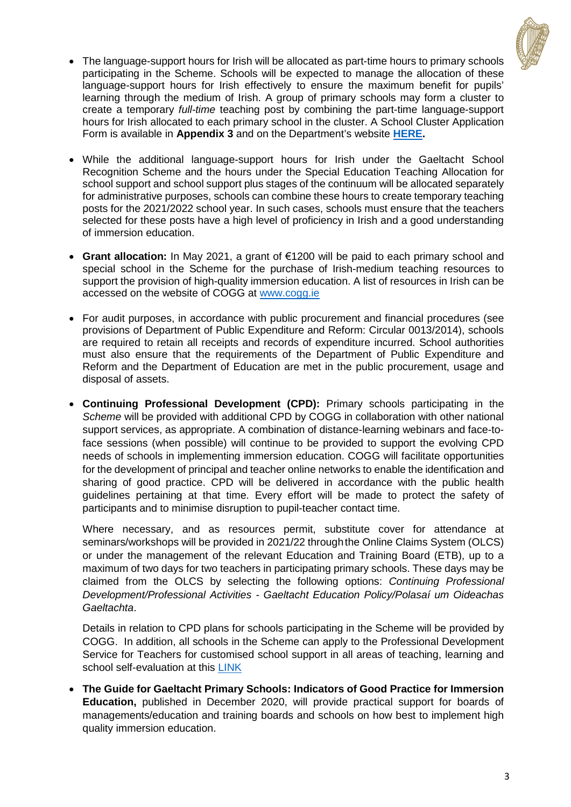

- The language-support hours for Irish will be allocated as part-time hours to primary schools participating in the Scheme. Schools will be expected to manage the allocation of these language-support hours for Irish effectively to ensure the maximum benefit for pupils' learning through the medium of Irish. A group of primary schools may form a cluster to create a temporary *full-time* teaching post by combining the part-time language-support hours for Irish allocated to each primary school in the cluster. A School Cluster Application Form is available in **Appendix 3** and on the Department's website **[HERE.](https://www.education.ie/ga/An-C%C3%B3ras-Oideachais/Polasai-don-Oideachas-Gaeltachta-2017-2022/foirm-cnuasach-scoileanna-uaireanta-tacaiochta-gaeilge.pdf)**
- While the additional language-support hours for Irish under the Gaeltacht School Recognition Scheme and the hours under the Special Education Teaching Allocation for school support and school support plus stages of the continuum will be allocated separately for administrative purposes, schools can combine these hours to create temporary teaching posts for the 2021/2022 school year. In such cases, schools must ensure that the teachers selected for these posts have a high level of proficiency in Irish and a good understanding of immersion education.
- **Grant allocation:** In May 2021, a grant of €1200 will be paid to each primary school and special school in the Scheme for the purchase of Irish-medium teaching resources to support the provision of high-quality immersion education. A list of resources in Irish can be accessed on the website of COGG at [www.cogg.ie](http://www.cogg.ie/)
- For audit purposes, in accordance with public procurement and financial procedures (see provisions of Department of Public Expenditure and Reform: Circular 0013/2014), schools are required to retain all receipts and records of expenditure incurred. School authorities must also ensure that the requirements of the Department of Public Expenditure and Reform and the Department of Education are met in the public procurement, usage and disposal of assets.
- **Continuing Professional Development (CPD):** Primary schools participating in the *Scheme* will be provided with additional CPD by COGG in collaboration with other national support services, as appropriate. A combination of distance-learning webinars and face-toface sessions (when possible) will continue to be provided to support the evolving CPD needs of schools in implementing immersion education. COGG will facilitate opportunities for the development of principal and teacher online networks to enable the identification and sharing of good practice. CPD will be delivered in accordance with the public health guidelines pertaining at that time. Every effort will be made to protect the safety of participants and to minimise disruption to pupil-teacher contact time.

Where necessary, and as resources permit, substitute cover for attendance at seminars/workshops will be provided in 2021/22 through the Online Claims System (OLCS) or under the management of the relevant Education and Training Board (ETB), up to a maximum of two days for two teachers in participating primary schools. These days may be claimed from the OLCS by selecting the following options: *Continuing Professional Development/Professional Activities - Gaeltacht Education Policy/Polasaí um Oideachas Gaeltachta*.

Details in relation to CPD plans for schools participating in the Scheme will be provided by COGG. In addition, all schools in the Scheme can apply to the Professional Development Service for Teachers for customised school support in all areas of teaching, learning and school self-evaluation at this [LINK](https://www.pdst.ie/ga/gaprimary) 

 **The Guide for Gaeltacht Primary Schools: Indicators of Good Practice for Immersion Education,** published in December 2020, will provide practical support for boards of managements/education and training boards and schools on how best to implement high quality immersion education.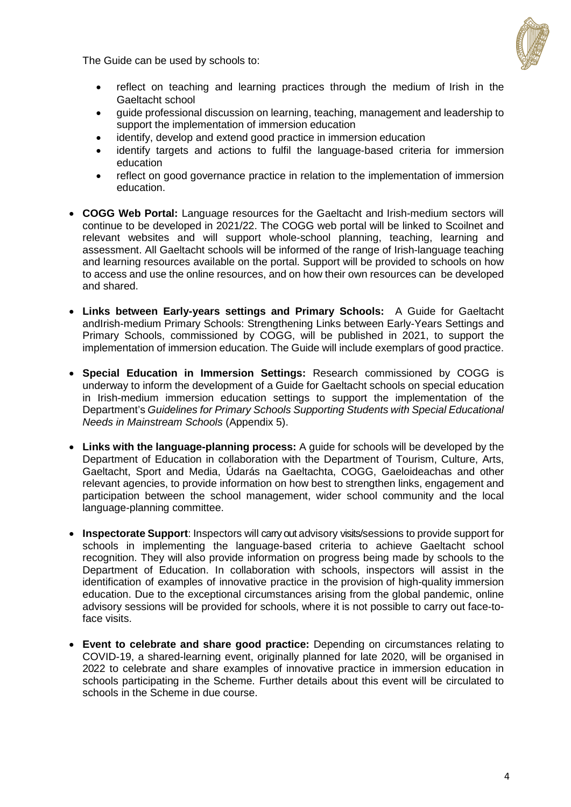The Guide can be used by schools to:



- reflect on teaching and learning practices through the medium of Irish in the Gaeltacht school
- guide professional discussion on learning, teaching, management and leadership to support the implementation of immersion education
- identify, develop and extend good practice in immersion education
- identify targets and actions to fulfil the language-based criteria for immersion education
- reflect on good governance practice in relation to the implementation of immersion education.
- **COGG Web Portal:** Language resources for the Gaeltacht and Irish-medium sectors will continue to be developed in 2021/22. The COGG web portal will be linked to Scoilnet and relevant websites and will support whole-school planning, teaching, learning and assessment. All Gaeltacht schools will be informed of the range of Irish-language teaching and learning resources available on the portal. Support will be provided to schools on how to access and use the online resources, and on how their own resources can be developed and shared.
- **Links between Early-years settings and Primary Schools:** A Guide for Gaeltacht andIrish-medium Primary Schools: Strengthening Links between Early-Years Settings and Primary Schools, commissioned by COGG, will be published in 2021, to support the implementation of immersion education. The Guide will include exemplars of good practice.
- **Special Education in Immersion Settings:** Research commissioned by COGG is underway to inform the development of a Guide for Gaeltacht schools on special education in Irish-medium immersion education settings to support the implementation of the Department's *Guidelines for Primary Schools Supporting Students with Special Educational Needs in Mainstream Schools* (Appendix 5).
- **Links with the language-planning process:** A guide for schools will be developed by the Department of Education in collaboration with the Department of Tourism, Culture, Arts, Gaeltacht, Sport and Media, Údarás na Gaeltachta, COGG, Gaeloideachas and other relevant agencies, to provide information on how best to strengthen links, engagement and participation between the school management, wider school community and the local language-planning committee.
- **Inspectorate Support**: Inspectors will carry out advisory visits/sessions to provide support for schools in implementing the language-based criteria to achieve Gaeltacht school recognition. They will also provide information on progress being made by schools to the Department of Education. In collaboration with schools, inspectors will assist in the identification of examples of innovative practice in the provision of high-quality immersion education. Due to the exceptional circumstances arising from the global pandemic, online advisory sessions will be provided for schools, where it is not possible to carry out face-toface visits.
- **Event to celebrate and share good practice:** Depending on circumstances relating to COVID-19, a shared-learning event, originally planned for late 2020, will be organised in 2022 to celebrate and share examples of innovative practice in immersion education in schools participating in the Scheme. Further details about this event will be circulated to schools in the Scheme in due course.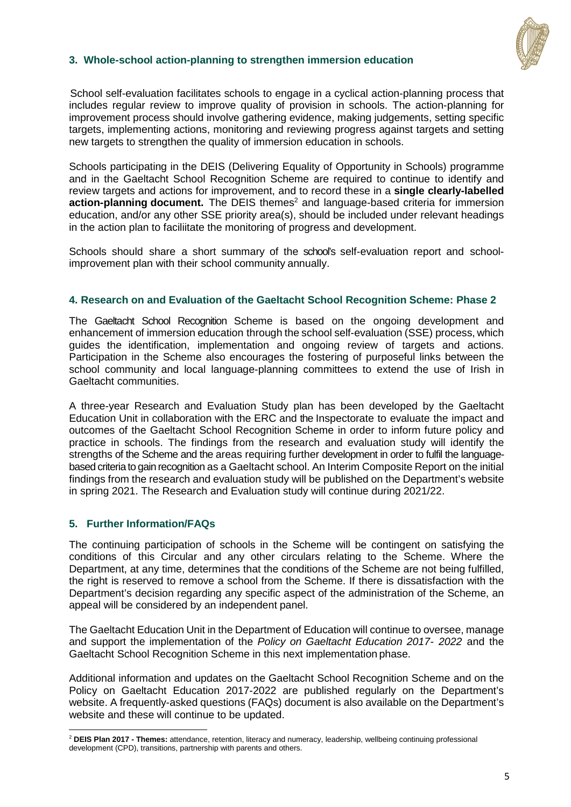

#### **3. Whole-school action-planning to strengthen immersion education**

 School self-evaluation facilitates schools to engage in a cyclical action-planning process that includes regular review to improve quality of provision in schools. The action-planning for improvement process should involve gathering evidence, making judgements, setting specific targets, implementing actions, monitoring and reviewing progress against targets and setting new targets to strengthen the quality of immersion education in schools.

Schools participating in the DEIS (Delivering Equality of Opportunity in Schools) programme and in the Gaeltacht School Recognition Scheme are required to continue to identify and review targets and actions for improvement, and to record these in a **single clearly-labelled**  action-planning document. The DEIS themes<sup>2</sup> and language-based criteria for immersion education, and/or any other SSE priority area(s), should be included under relevant headings in the action plan to faciliitate the monitoring of progress and development.

Schools should share a short summary of the school's self-evaluation report and schoolimprovement plan with their school community annually.

#### **4. Research on and Evaluation of the Gaeltacht School Recognition Scheme: Phase 2**

The Gaeltacht School Recognition Scheme is based on the ongoing development and enhancement of immersion education through the school self-evaluation (SSE) process, which guides the identification, implementation and ongoing review of targets and actions. Participation in the Scheme also encourages the fostering of purposeful links between the school community and local language-planning committees to extend the use of Irish in Gaeltacht communities.

A three-year Research and Evaluation Study plan has been developed by the Gaeltacht Education Unit in collaboration with the ERC and the Inspectorate to evaluate the impact and outcomes of the Gaeltacht School Recognition Scheme in order to inform future policy and practice in schools. The findings from the research and evaluation study will identify the strengths of the Scheme and the areas requiring further development in order to fulfil the languagebased criteria to gain recognition as a Gaeltacht school. An Interim Composite Report on the initial findings from the research and evaluation study will be published on the Department's website in spring 2021. The Research and Evaluation study will continue during 2021/22.

#### **5. Further Information/FAQs**

The continuing participation of schools in the Scheme will be contingent on satisfying the conditions of this Circular and any other circulars relating to the Scheme. Where the Department, at any time, determines that the conditions of the Scheme are not being fulfilled, the right is reserved to remove a school from the Scheme. If there is dissatisfaction with the Department's decision regarding any specific aspect of the administration of the Scheme, an appeal will be considered by an independent panel.

The Gaeltacht Education Unit in the Department of Education will continue to oversee, manage and support the implementation of the *Policy on Gaeltacht Education 2017- 2022* and the Gaeltacht School Recognition Scheme in this next implementation phase.

Additional information and updates on the Gaeltacht School Recognition Scheme and on the Policy on Gaeltacht Education 2017-2022 are published regularly on the Department's website. A frequently-asked questions (FAQs) document is also available on the Department's website and these will continue to be updated.

<sup>&</sup>lt;u>.</u> <sup>2</sup> **DEIS Plan 2017 - Themes:** attendance, retention, literacy and numeracy, leadership, wellbeing continuing professional development (CPD), transitions, partnership with parents and others.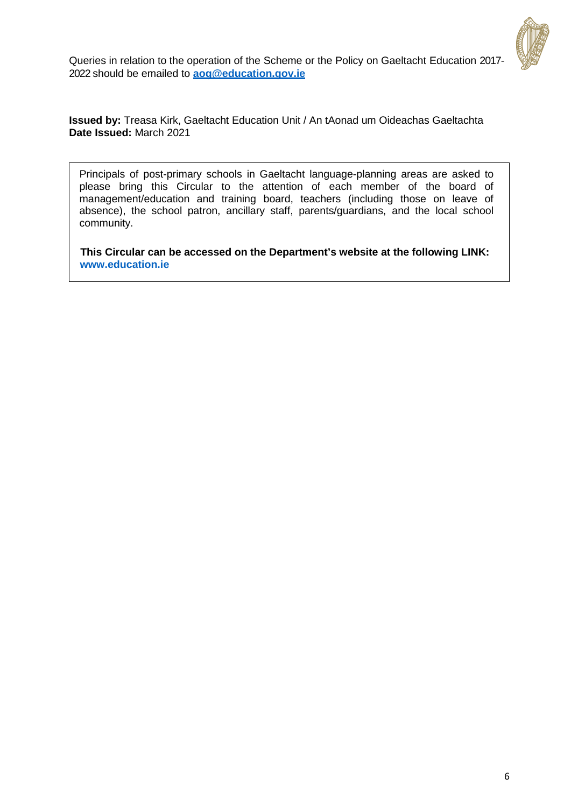

Queries in relation to the operation of the Scheme or the Policy on Gaeltacht Education 2017- 2022 should be emailed to **[aog@education.gov.ie](mailto:aog@education.gov.ie)**

**Issued by:** Treasa Kirk, Gaeltacht Education Unit / An tAonad um Oideachas Gaeltachta **Date Issued:** March 2021

Principals of post-primary schools in Gaeltacht language-planning areas are asked to please bring this Circular to the attention of each member of the board of management/education and training board, teachers (including those on leave of absence), the school patron, ancillary staff, parents/guardians, and the local school community.

 **This Circular can be accessed on the Department's website at the following LINK: [www.education.ie](https://www.education.ie/en/Circulars-and-Forms/Active-Circulars/cl0012_2021.pdf)**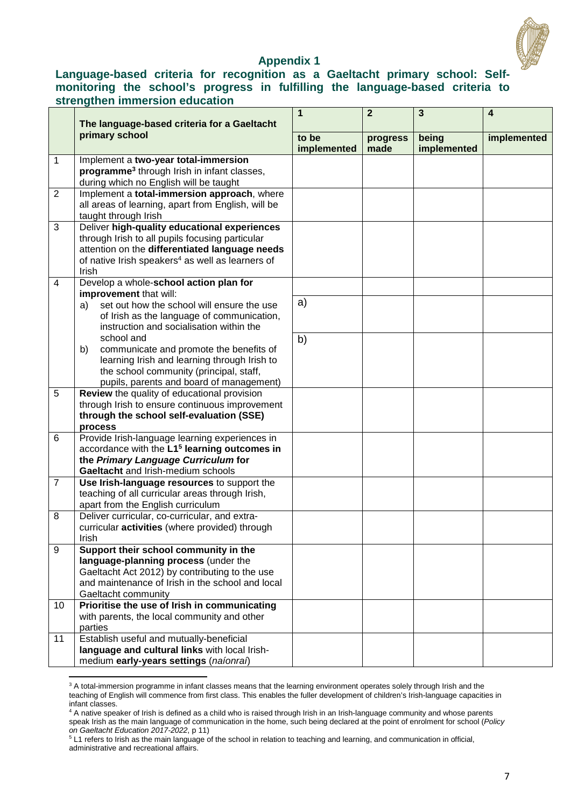

#### **Appendix 1**

### **Language-based criteria for recognition as a Gaeltacht primary school: Selfmonitoring the school's progress in fulfilling the language-based criteria to strengthen immersion education**

|                | The language-based criteria for a Gaeltacht                                                                                                                                                                                | 1                    | $\overline{2}$   | 3                    | $\overline{\mathbf{4}}$ |
|----------------|----------------------------------------------------------------------------------------------------------------------------------------------------------------------------------------------------------------------------|----------------------|------------------|----------------------|-------------------------|
|                | primary school                                                                                                                                                                                                             | to be<br>implemented | progress<br>made | being<br>implemented | implemented             |
| 1              | Implement a two-year total-immersion<br>programme <sup>3</sup> through Irish in infant classes,<br>during which no English will be taught                                                                                  |                      |                  |                      |                         |
| 2              | Implement a total-immersion approach, where<br>all areas of learning, apart from English, will be<br>taught through Irish                                                                                                  |                      |                  |                      |                         |
| 3              | Deliver high-quality educational experiences<br>through Irish to all pupils focusing particular<br>attention on the differentiated language needs<br>of native Irish speakers <sup>4</sup> as well as learners of<br>Irish |                      |                  |                      |                         |
| 4              | Develop a whole-school action plan for                                                                                                                                                                                     |                      |                  |                      |                         |
|                | improvement that will:<br>set out how the school will ensure the use<br>a)<br>of Irish as the language of communication,<br>instruction and socialisation within the                                                       | a)                   |                  |                      |                         |
|                | school and<br>communicate and promote the benefits of<br>b)<br>learning Irish and learning through Irish to<br>the school community (principal, staff,<br>pupils, parents and board of management)                         | b)                   |                  |                      |                         |
| 5              | Review the quality of educational provision<br>through Irish to ensure continuous improvement<br>through the school self-evaluation (SSE)<br>process                                                                       |                      |                  |                      |                         |
| 6              | Provide Irish-language learning experiences in<br>accordance with the L1 <sup>5</sup> learning outcomes in<br>the Primary Language Curriculum for<br>Gaeltacht and Irish-medium schools                                    |                      |                  |                      |                         |
| $\overline{7}$ | Use Irish-language resources to support the<br>teaching of all curricular areas through Irish,<br>apart from the English curriculum                                                                                        |                      |                  |                      |                         |
| 8              | Deliver curricular, co-curricular, and extra-<br>curricular activities (where provided) through<br>Irish                                                                                                                   |                      |                  |                      |                         |
| 9              | Support their school community in the<br>language-planning process (under the<br>Gaeltacht Act 2012) by contributing to the use<br>and maintenance of Irish in the school and local<br>Gaeltacht community                 |                      |                  |                      |                         |
| 10             | Prioritise the use of Irish in communicating<br>with parents, the local community and other<br>parties                                                                                                                     |                      |                  |                      |                         |
| 11             | Establish useful and mutually-beneficial<br>language and cultural links with local Irish-<br>medium early-years settings (naíonraí)                                                                                        |                      |                  |                      |                         |

<sup>&</sup>lt;sup>3</sup> A total-immersion programme in infant classes means that the learning environment operates solely through Irish and the teaching of English will commence from first class. This enables the fuller development of children's Irish-language capacities in infant classes.

<u>.</u>

<sup>4</sup> A native speaker of Irish is defined as a child who is raised through Irish in an Irish-language community and whose parents speak Irish as the main language of communication in the home, such being declared at the point of enrolment for school (*Policy on Gaeltacht Education 2017-2022*, p 11)

<sup>&</sup>lt;sup>5</sup> L1 refers to Irish as the main language of the school in relation to teaching and learning, and communication in official, administrative and recreational affairs.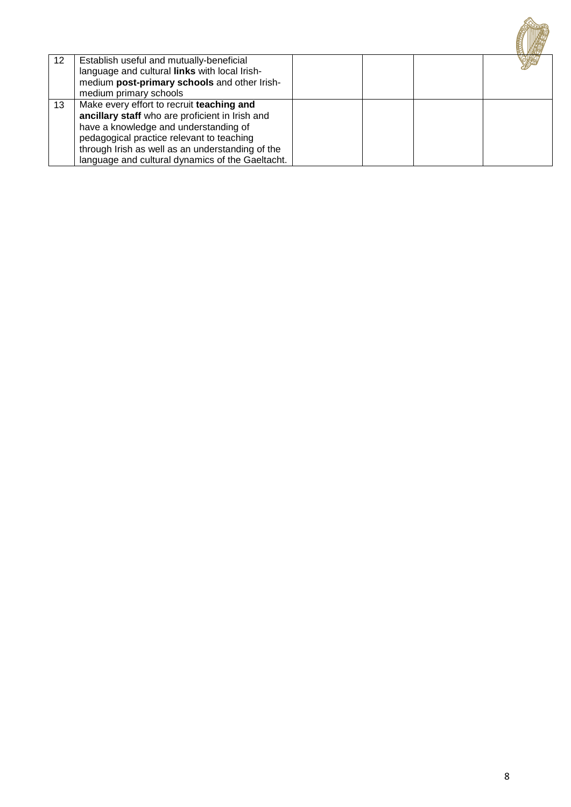| 12 | Establish useful and mutually-beneficial<br>language and cultural links with local Irish-<br>medium post-primary schools and other Irish-<br>medium primary schools                                                                                                                        |  |  |
|----|--------------------------------------------------------------------------------------------------------------------------------------------------------------------------------------------------------------------------------------------------------------------------------------------|--|--|
| 13 | Make every effort to recruit teaching and<br>ancillary staff who are proficient in Irish and<br>have a knowledge and understanding of<br>pedagogical practice relevant to teaching<br>through Irish as well as an understanding of the<br>language and cultural dynamics of the Gaeltacht. |  |  |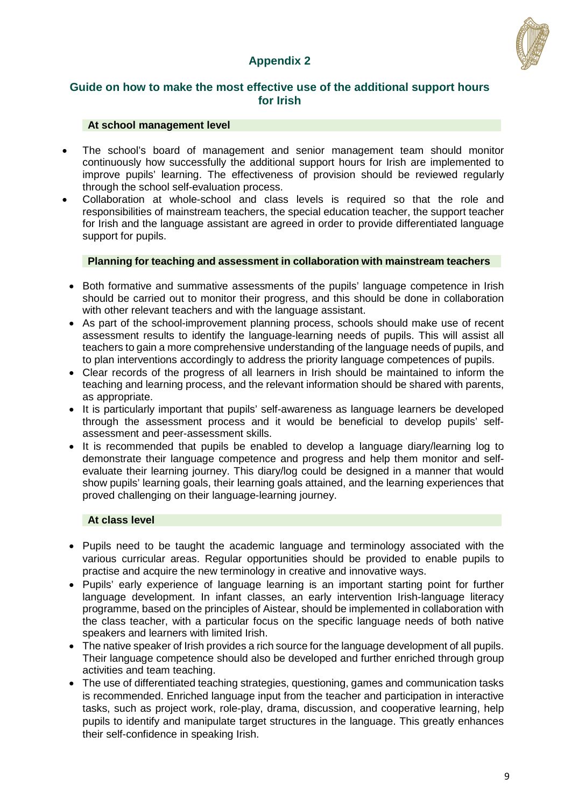## **Appendix 2**



### **Guide on how to make the most effective use of the additional support hours for Irish**

#### **At school management level**

- The school's board of management and senior management team should monitor continuously how successfully the additional support hours for Irish are implemented to improve pupils' learning. The effectiveness of provision should be reviewed regularly through the school self-evaluation process.
- Collaboration at whole-school and class levels is required so that the role and responsibilities of mainstream teachers, the special education teacher, the support teacher for Irish and the language assistant are agreed in order to provide differentiated language support for pupils.

#### **Planning for teaching and assessment in collaboration with mainstream teachers**

- Both formative and summative assessments of the pupils' language competence in Irish should be carried out to monitor their progress, and this should be done in collaboration with other relevant teachers and with the language assistant.
- As part of the school-improvement planning process, schools should make use of recent assessment results to identify the language-learning needs of pupils. This will assist all teachers to gain a more comprehensive understanding of the language needs of pupils, and to plan interventions accordingly to address the priority language competences of pupils.
- Clear records of the progress of all learners in Irish should be maintained to inform the teaching and learning process, and the relevant information should be shared with parents, as appropriate.
- It is particularly important that pupils' self-awareness as language learners be developed through the assessment process and it would be beneficial to develop pupils' selfassessment and peer-assessment skills.
- It is recommended that pupils be enabled to develop a language diary/learning log to demonstrate their language competence and progress and help them monitor and selfevaluate their learning journey. This diary/log could be designed in a manner that would show pupils' learning goals, their learning goals attained, and the learning experiences that proved challenging on their language-learning journey.

#### **At class level**

- Pupils need to be taught the academic language and terminology associated with the various curricular areas. Regular opportunities should be provided to enable pupils to practise and acquire the new terminology in creative and innovative ways.
- Pupils' early experience of language learning is an important starting point for further language development. In infant classes, an early intervention Irish-language literacy programme, based on the principles of Aistear, should be implemented in collaboration with the class teacher, with a particular focus on the specific language needs of both native speakers and learners with limited Irish.
- The native speaker of Irish provides a rich source for the language development of all pupils. Their language competence should also be developed and further enriched through group activities and team teaching.
- The use of differentiated teaching strategies, questioning, games and communication tasks is recommended. Enriched language input from the teacher and participation in interactive tasks, such as project work, role-play, drama, discussion, and cooperative learning, help pupils to identify and manipulate target structures in the language. This greatly enhances their self-confidence in speaking Irish.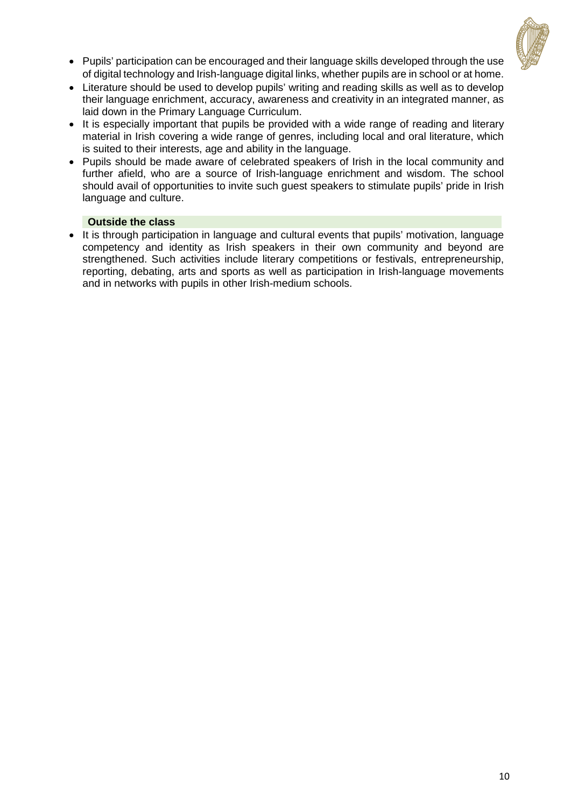

- Pupils' participation can be encouraged and their language skills developed through the use of digital technology and Irish-language digital links, whether pupils are in school or at home.
- Literature should be used to develop pupils' writing and reading skills as well as to develop their language enrichment, accuracy, awareness and creativity in an integrated manner, as laid down in the Primary Language Curriculum.
- It is especially important that pupils be provided with a wide range of reading and literary material in Irish covering a wide range of genres, including local and oral literature, which is suited to their interests, age and ability in the language.
- Pupils should be made aware of celebrated speakers of Irish in the local community and further afield, who are a source of Irish-language enrichment and wisdom. The school should avail of opportunities to invite such guest speakers to stimulate pupils' pride in Irish language and culture.

#### **Outside the class**

• It is through participation in language and cultural events that pupils' motivation, language competency and identity as Irish speakers in their own community and beyond are strengthened. Such activities include literary competitions or festivals, entrepreneurship, reporting, debating, arts and sports as well as participation in Irish-language movements and in networks with pupils in other Irish-medium schools.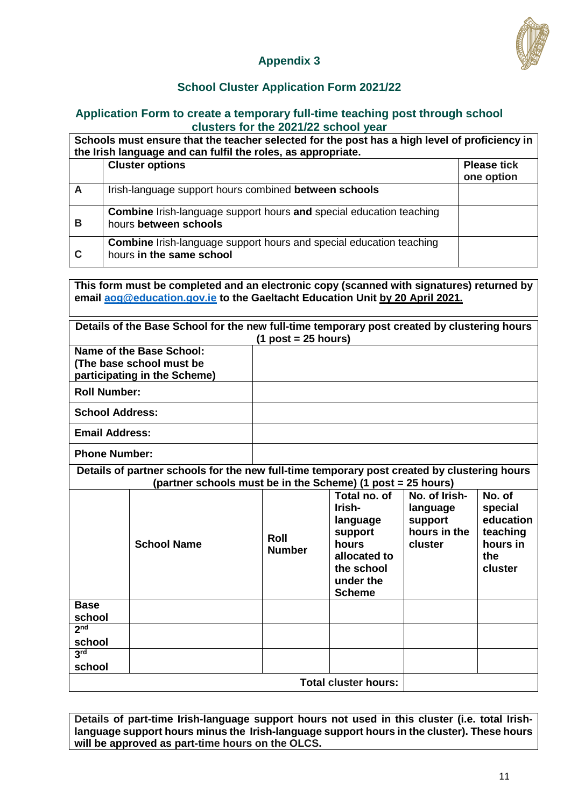

## **Appendix 3**

## **School Cluster Application Form 2021/22**

#### **Application Form to create a temporary full-time teaching post through school clusters for the 2021/22 school year**

**Schools must ensure that the teacher selected for the post has a high level of proficiency in the Irish language and can fulfil the roles, as appropriate.** 

|   | <b>Cluster options</b>                                                                                 | <b>Please tick</b><br>one option |
|---|--------------------------------------------------------------------------------------------------------|----------------------------------|
| A | Irish-language support hours combined between schools                                                  |                                  |
| В | <b>Combine</b> Irish-language support hours and special education teaching<br>hours between schools    |                                  |
| C | <b>Combine</b> Irish-language support hours and special education teaching<br>hours in the same school |                                  |

**This form must be completed and an electronic copy (scanned with signatures) returned by email [aog@education.gov.ie](mailto:aog@education.gov.ie) to the Gaeltacht Education Unit by 20 April 2021.** 

| Details of the Base School for the new full-time temporary post created by clustering hours<br>$(1$ post = 25 hours) |                    |                                                                                                                                                            |                                                                                                                    |                                                                 |                                                                          |  |  |  |  |
|----------------------------------------------------------------------------------------------------------------------|--------------------|------------------------------------------------------------------------------------------------------------------------------------------------------------|--------------------------------------------------------------------------------------------------------------------|-----------------------------------------------------------------|--------------------------------------------------------------------------|--|--|--|--|
| Name of the Base School:<br>(The base school must be<br>participating in the Scheme)                                 |                    |                                                                                                                                                            |                                                                                                                    |                                                                 |                                                                          |  |  |  |  |
| <b>Roll Number:</b>                                                                                                  |                    |                                                                                                                                                            |                                                                                                                    |                                                                 |                                                                          |  |  |  |  |
| <b>School Address:</b>                                                                                               |                    |                                                                                                                                                            |                                                                                                                    |                                                                 |                                                                          |  |  |  |  |
| <b>Email Address:</b>                                                                                                |                    |                                                                                                                                                            |                                                                                                                    |                                                                 |                                                                          |  |  |  |  |
| <b>Phone Number:</b>                                                                                                 |                    |                                                                                                                                                            |                                                                                                                    |                                                                 |                                                                          |  |  |  |  |
|                                                                                                                      |                    | Details of partner schools for the new full-time temporary post created by clustering hours<br>(partner schools must be in the Scheme) (1 post = 25 hours) |                                                                                                                    |                                                                 |                                                                          |  |  |  |  |
|                                                                                                                      | <b>School Name</b> | Roll<br><b>Number</b>                                                                                                                                      | Total no. of<br>Irish-<br>language<br>support<br>hours<br>allocated to<br>the school<br>under the<br><b>Scheme</b> | No. of Irish-<br>language<br>support<br>hours in the<br>cluster | No. of<br>special<br>education<br>teaching<br>hours in<br>the<br>cluster |  |  |  |  |
| <b>Base</b><br>school                                                                                                |                    |                                                                                                                                                            |                                                                                                                    |                                                                 |                                                                          |  |  |  |  |
| 2 <sub>nd</sub><br>school                                                                                            |                    |                                                                                                                                                            |                                                                                                                    |                                                                 |                                                                          |  |  |  |  |
| 3 <sup>rd</sup><br>school                                                                                            |                    |                                                                                                                                                            |                                                                                                                    |                                                                 |                                                                          |  |  |  |  |
|                                                                                                                      |                    |                                                                                                                                                            | <b>Total cluster hours:</b>                                                                                        |                                                                 |                                                                          |  |  |  |  |

**Details of part-time Irish-language support hours not used in this cluster (i.e. total Irishlanguage support hours minus the Irish-language support hours in the cluster). These hours will be approved as part-time hours on the OLCS.**